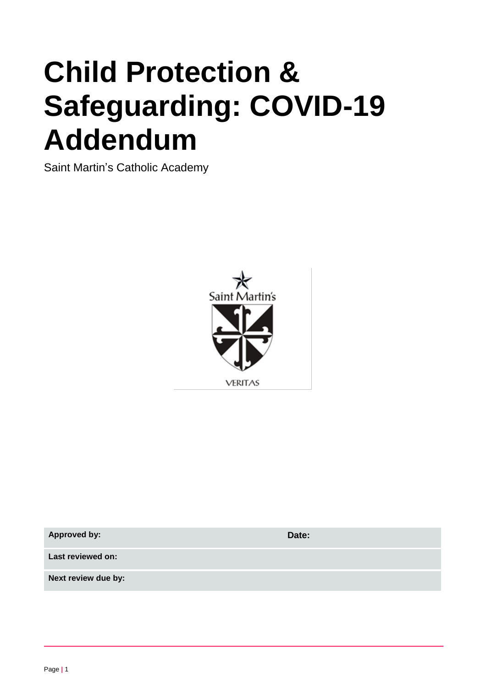# **Child Protection & Safeguarding: COVID-19 Addendum**

Saint Martin's Catholic Academy



| <b>Approved by:</b> | Date: |
|---------------------|-------|
| Last reviewed on:   |       |
| Next review due by: |       |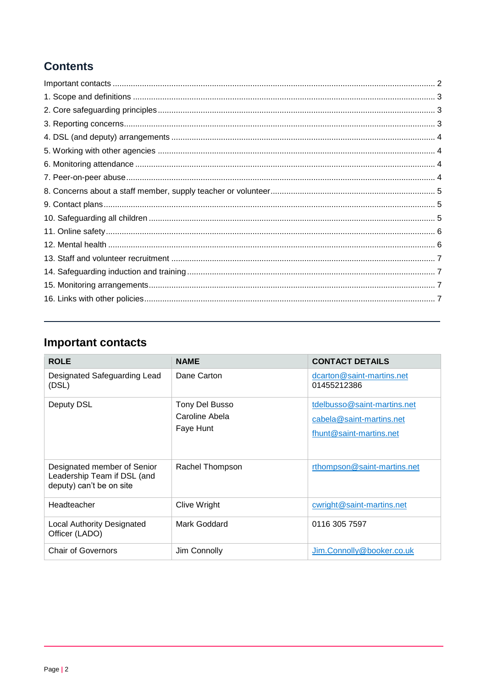# **Contents**

# <span id="page-1-0"></span>**Important contacts**

<span id="page-1-1"></span>

| <b>ROLE</b>                                                                            | <b>NAME</b>                                   | <b>CONTACT DETAILS</b>                                                             |
|----------------------------------------------------------------------------------------|-----------------------------------------------|------------------------------------------------------------------------------------|
| Designated Safeguarding Lead<br>(DSL)                                                  | Dane Carton                                   | dcarton@saint-martins.net<br>01455212386                                           |
| Deputy DSL                                                                             | Tony Del Busso<br>Caroline Abela<br>Faye Hunt | tdelbusso@saint-martins.net<br>cabela@saint-martins.net<br>fhunt@saint-martins.net |
| Designated member of Senior<br>Leadership Team if DSL (and<br>deputy) can't be on site | Rachel Thompson                               | rthompson@saint-martins.net                                                        |
| Headteacher                                                                            | Clive Wright                                  | cwright@saint-martins.net                                                          |
| <b>Local Authority Designated</b><br>Officer (LADO)                                    | Mark Goddard                                  | 0116 305 7597                                                                      |
| <b>Chair of Governors</b>                                                              | Jim Connolly                                  | Jim.Connolly@booker.co.uk                                                          |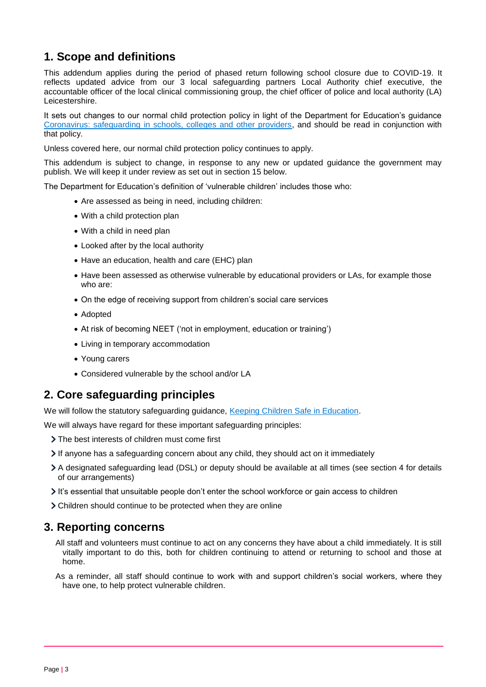## **1. Scope and definitions**

This addendum applies during the period of phased return following school closure due to COVID-19. It reflects updated advice from our 3 local safeguarding partners Local Authority chief executive, the accountable officer of the local clinical commissioning group, the chief officer of police and local authority (LA) Leicestershire.

It sets out changes to our normal child protection policy in light of the Department for Education's guidance [Coronavirus: safeguarding in schools, colleges and other providers,](https://www.gov.uk/government/publications/covid-19-safeguarding-in-schools-colleges-and-other-providers) and should be read in conjunction with that policy.

Unless covered here, our normal child protection policy continues to apply.

This addendum is subject to change, in response to any new or updated guidance the government may publish. We will keep it under review as set out in section 15 below.

The Department for Education's definition of 'vulnerable children' includes those who:

- Are assessed as being in need, including children:
- With a child protection plan
- With a child in need plan
- Looked after by the local authority
- Have an education, health and care (EHC) plan
- Have been assessed as otherwise vulnerable by educational providers or LAs, for example those who are:
- On the edge of receiving support from children's social care services
- Adopted
- At risk of becoming NEET ('not in employment, education or training')
- Living in temporary accommodation
- Young carers
- Considered vulnerable by the school and/or LA

## <span id="page-2-0"></span>**2. Core safeguarding principles**

We will follow the statutory safeguarding guidance, [Keeping Children Safe in Education.](https://www.gov.uk/government/publications/keeping-children-safe-in-education--2)

We will always have regard for these important safeguarding principles:

- The best interests of children must come first
- $\triangleright$  If anyone has a safeguarding concern about any child, they should act on it immediately
- A designated safeguarding lead (DSL) or deputy should be available at all times (see section 4 for details of our arrangements)
- It's essential that unsuitable people don't enter the school workforce or gain access to children
- Children should continue to be protected when they are online

#### <span id="page-2-1"></span>**3. Reporting concerns**

- All staff and volunteers must continue to act on any concerns they have about a child immediately. It is still vitally important to do this, both for children continuing to attend or returning to school and those at home.
- As a reminder, all staff should continue to work with and support children's social workers, where they have one, to help protect vulnerable children.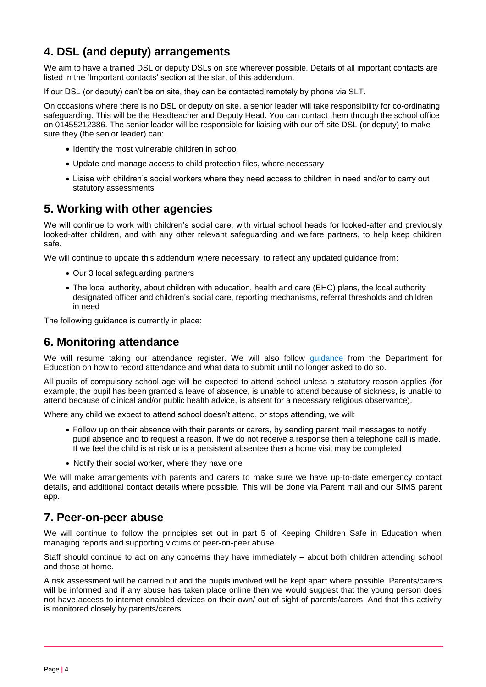## <span id="page-3-0"></span>**4. DSL (and deputy) arrangements**

We aim to have a trained DSL or deputy DSLs on site wherever possible. Details of all important contacts are listed in the 'Important contacts' section at the start of this addendum.

If our DSL (or deputy) can't be on site, they can be contacted remotely by phone via SLT.

On occasions where there is no DSL or deputy on site, a senior leader will take responsibility for co-ordinating safeguarding. This will be the Headteacher and Deputy Head. You can contact them through the school office on 01455212386. The senior leader will be responsible for liaising with our off-site DSL (or deputy) to make sure they (the senior leader) can:

- Identify the most vulnerable children in school
- Update and manage access to child protection files, where necessary
- Liaise with children's social workers where they need access to children in need and/or to carry out statutory assessments

## <span id="page-3-1"></span>**5. Working with other agencies**

We will continue to work with children's social care, with virtual school heads for looked-after and previously looked-after children, and with any other relevant safeguarding and welfare partners, to help keep children safe.

We will continue to update this addendum where necessary, to reflect any updated guidance from:

- Our 3 local safeguarding partners
- The local authority, about children with education, health and care (EHC) plans, the local authority designated officer and children's social care, reporting mechanisms, referral thresholds and children in need

The following guidance is currently in place:

#### <span id="page-3-2"></span>**6. Monitoring attendance**

We will resume taking our attendance register. We will also follow [guidance](https://www.gov.uk/government/publications/school-attendance) from the Department for Education on how to record attendance and what data to submit until no longer asked to do so.

All pupils of compulsory school age will be expected to attend school unless a statutory reason applies (for example, the pupil has been granted a leave of absence, is unable to attend because of sickness, is unable to attend because of clinical and/or public health advice, is absent for a necessary religious observance).

Where any child we expect to attend school doesn't attend, or stops attending, we will:

- Follow up on their absence with their parents or carers, by sending parent mail messages to notify pupil absence and to request a reason. If we do not receive a response then a telephone call is made. If we feel the child is at risk or is a persistent absentee then a home visit may be completed
- Notify their social worker, where they have one

We will make arrangements with parents and carers to make sure we have up-to-date emergency contact details, and additional contact details where possible. This will be done via Parent mail and our SIMS parent app.

#### <span id="page-3-3"></span>**7. Peer-on-peer abuse**

We will continue to follow the principles set out in part 5 of Keeping Children Safe in Education when managing reports and supporting victims of peer-on-peer abuse.

Staff should continue to act on any concerns they have immediately – about both children attending school and those at home.

A risk assessment will be carried out and the pupils involved will be kept apart where possible. Parents/carers will be informed and if any abuse has taken place online then we would suggest that the young person does not have access to internet enabled devices on their own/ out of sight of parents/carers. And that this activity is monitored closely by parents/carers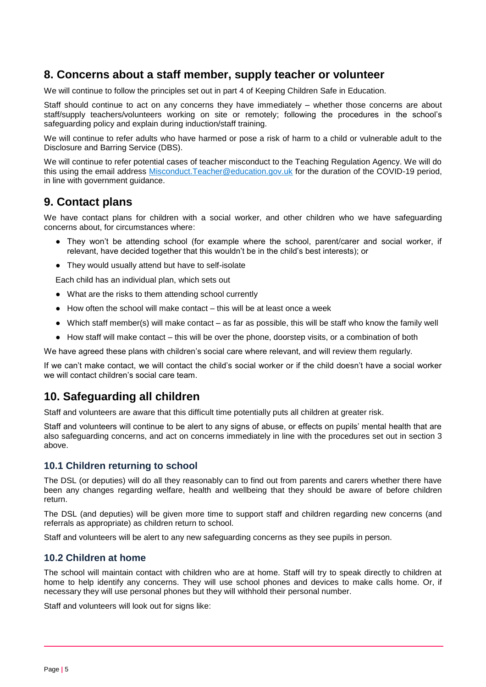## <span id="page-4-0"></span>**8. Concerns about a staff member, supply teacher or volunteer**

We will continue to follow the principles set out in part 4 of Keeping Children Safe in Education.

Staff should continue to act on any concerns they have immediately – whether those concerns are about staff/supply teachers/volunteers working on site or remotely; following the procedures in the school's safeguarding policy and explain during induction/staff training.

We will continue to refer adults who have harmed or pose a risk of harm to a child or vulnerable adult to the Disclosure and Barring Service (DBS).

We will continue to refer potential cases of teacher misconduct to the Teaching Regulation Agency. We will do this using the email address [Misconduct.Teacher@education.gov.uk](mailto:Misconduct.Teacher@education.gov.uk) for the duration of the COVID-19 period, in line with government guidance.

## <span id="page-4-1"></span>**9. Contact plans**

We have contact plans for children with a social worker, and other children who we have safeguarding concerns about, for circumstances where:

- They won't be attending school (for example where the school, parent/carer and social worker, if relevant, have decided together that this wouldn't be in the child's best interests); or
- They would usually attend but have to self-isolate

Each child has an individual plan, which sets out

- What are the risks to them attending school currently
- $\bullet$  How often the school will make contact this will be at least once a week
- Which staff member(s) will make contact as far as possible, this will be staff who know the family well
- How staff will make contact this will be over the phone, doorstep visits, or a combination of both

We have agreed these plans with children's social care where relevant, and will review them regularly.

If we can't make contact, we will contact the child's social worker or if the child doesn't have a social worker we will contact children's social care team.

## <span id="page-4-2"></span>**10. Safeguarding all children**

Staff and volunteers are aware that this difficult time potentially puts all children at greater risk.

Staff and volunteers will continue to be alert to any signs of abuse, or effects on pupils' mental health that are also safeguarding concerns, and act on concerns immediately in line with the procedures set out in section 3 above.

#### **10.1 Children returning to school**

The DSL (or deputies) will do all they reasonably can to find out from parents and carers whether there have been any changes regarding welfare, health and wellbeing that they should be aware of before children return.

The DSL (and deputies) will be given more time to support staff and children regarding new concerns (and referrals as appropriate) as children return to school.

Staff and volunteers will be alert to any new safeguarding concerns as they see pupils in person.

#### **10.2 Children at home**

The school will maintain contact with children who are at home. Staff will try to speak directly to children at home to help identify any concerns. They will use school phones and devices to make calls home. Or, if necessary they will use personal phones but they will withhold their personal number.

Staff and volunteers will look out for signs like: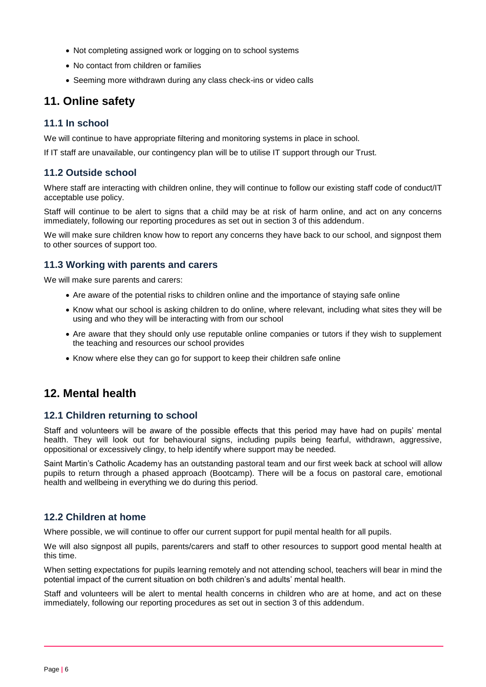- Not completing assigned work or logging on to school systems
- No contact from children or families
- Seeming more withdrawn during any class check-ins or video calls

## <span id="page-5-0"></span>**11. Online safety**

#### **11.1 In school**

We will continue to have appropriate filtering and monitoring systems in place in school.

If IT staff are unavailable, our contingency plan will be to utilise IT support through our Trust.

#### **11.2 Outside school**

Where staff are interacting with children online, they will continue to follow our existing staff code of conduct/IT acceptable use policy.

Staff will continue to be alert to signs that a child may be at risk of harm online, and act on any concerns immediately, following our reporting procedures as set out in section 3 of this addendum.

We will make sure children know how to report any concerns they have back to our school, and signpost them to other sources of support too.

#### **11.3 Working with parents and carers**

We will make sure parents and carers:

- Are aware of the potential risks to children online and the importance of staying safe online
- Know what our school is asking children to do online, where relevant, including what sites they will be using and who they will be interacting with from our school
- Are aware that they should only use reputable online companies or tutors if they wish to supplement the teaching and resources our school provides
- Know where else they can go for support to keep their children safe online

## <span id="page-5-1"></span>**12. Mental health**

#### **12.1 Children returning to school**

Staff and volunteers will be aware of the possible effects that this period may have had on pupils' mental health. They will look out for behavioural signs, including pupils being fearful, withdrawn, aggressive, oppositional or excessively clingy, to help identify where support may be needed.

Saint Martin's Catholic Academy has an outstanding pastoral team and our first week back at school will allow pupils to return through a phased approach (Bootcamp). There will be a focus on pastoral care, emotional health and wellbeing in everything we do during this period.

#### **12.2 Children at home**

Where possible, we will continue to offer our current support for pupil mental health for all pupils.

We will also signpost all pupils, parents/carers and staff to other resources to support good mental health at this time.

When setting expectations for pupils learning remotely and not attending school, teachers will bear in mind the potential impact of the current situation on both children's and adults' mental health.

Staff and volunteers will be alert to mental health concerns in children who are at home, and act on these immediately, following our reporting procedures as set out in section 3 of this addendum.